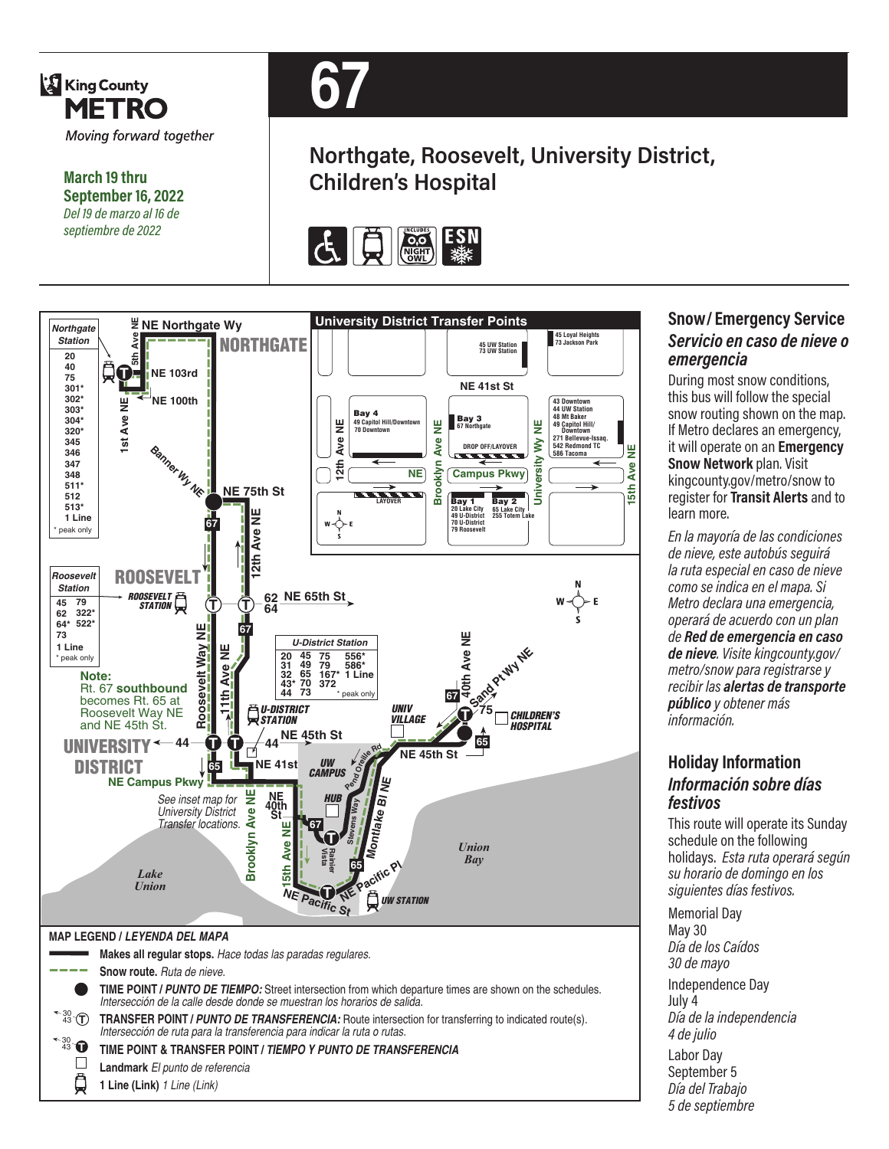

**March 19 thru September 16, 2022** *Del 19 de marzo al 16 de septiembre de 2022*



# **Northgate, Roosevelt, University District, Children's Hospital**





#### **Snow/ Emergency Service**  *Servicio en caso de nieve o emergencia*

During most snow conditions, this bus will follow the special snow routing shown on the map. If Metro declares an emergency, it will operate on an **Emergency Snow Network** plan. Visit kingcounty.gov/metro/snow to register for **Transit Alerts** and to learn more.

*En la mayoría de las condiciones de nieve, este autobús seguirá la ruta especial en caso de nieve como se indica en el mapa. Si Metro declara una emergencia, operará de acuerdo con un plan de Red de emergencia en caso de nieve. Visite kingcounty.gov/ metro/snow para registrarse y recibir las alertas de transporte público y obtener más información.*

#### **Holiday Information** *Información sobre días festivos*

This route will operate its Sunday schedule on the following holidays. *Esta ruta operará según su horario de domingo en los siguientes días festivos.*

Memorial Day May 30 *Día de los Caídos 30 de mayo* Independence Day July 4 *Día de la independencia 4 de julio* Labor Day September 5 *Día del Trabajo 5 de septiembre*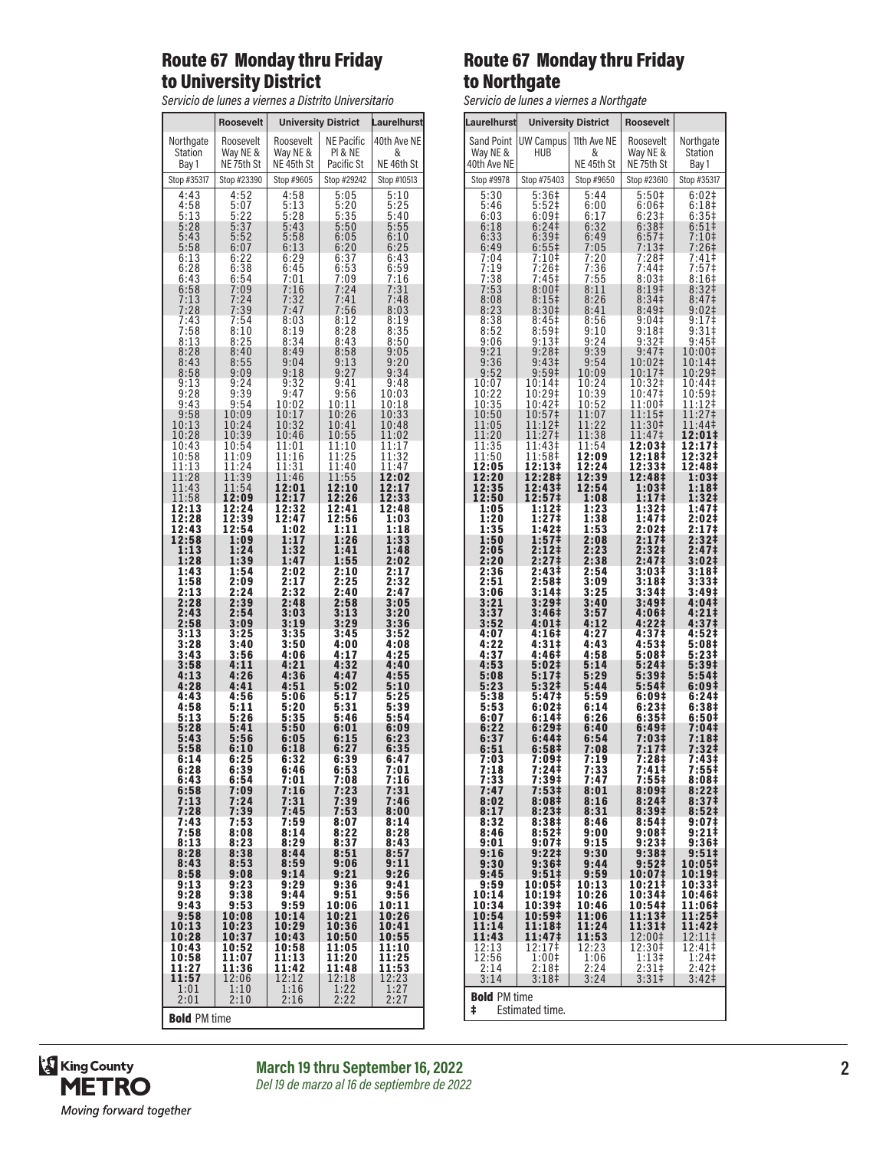#### Route 67 Monday thru Friday to University District

*Servicio de lunes a viernes a Distrito Universitario*

|                     | <b>Roosevelt</b>                            | <b>University District</b> |                   | Laurelhurst         |
|---------------------|---------------------------------------------|----------------------------|-------------------|---------------------|
| Northgate           | Roosevelt                                   | Roosevelt                  | <b>NE Pacific</b> | 40th Ave NE         |
| Station             | Way NE &                                    | Way NE &                   | PI & NE           | &                   |
| Bay 1               | NE 75th St                                  | NE 45th St                 | Pacific St        | NE 46th St          |
| Stop #35317         | Stop #23390                                 | Stop #9605                 | Stop #29242       | Stop #10513         |
| 4:43<br>4:58        | $4:52$<br>$5:07$                            | $4:58$<br>$5:13$           | 5:05<br>5:20      | 5:10<br>5:25        |
| 5:13                | 5:22                                        | 5:28<br>5:43               | 5:35<br>5:50      | 5:40<br>5:55        |
| $5:28$<br>$5:43$    | $\begin{array}{c} 5:37 \\ 5:52 \end{array}$ | 5:58                       | 6:05              | 6:10                |
| 5:58                | 6:07                                        | 6:13                       | 6:20              | 6:25                |
| 6:13                | 6:22                                        | 6:29                       | 6:37              | 6:43                |
| 6:28                | 6:38                                        | 6:45                       | 6:53              | 6:59                |
| 6:43                | 6:54<br>7:09                                | 7:01                       | 7:09              | 7:16                |
| 6:58                | 7:24                                        | 7:16<br>7:32               | 7:24<br>7:41      | 7:31<br>7:48        |
| $7:13$<br>$7:28$    | 7:39                                        | 7:47                       | 7:56              | 8:03                |
| 7:43                | 7:54                                        | 8:03                       | 8:12              | 8:19                |
| $7:58$<br>$8:13$    | 8:10<br>8:25                                | 8:19<br>8:34               | 8:28<br>8:43      | $\frac{8:35}{8:50}$ |
| 8:28                | 8:40                                        | 8:49                       | 8:58              | 9:05                |
| 8:43                | 8:55                                        | 9:04                       | 9:13              | 9:20                |
| 8:58                | 9:09                                        | 9:18                       | 9:27              | 9:34                |
| $\frac{9:13}{9:28}$ | $9:24$<br>$9:39$                            | 9:32<br>9:47               | 9:41<br>9:56      | 9:48<br>10:03       |
| 9:43<br>9:58        | 9:54<br>10:09                               | 10:02<br>10:17             | 10:11<br>10:26    | 10:18<br>10:3<br>3  |
| 10:13               | 10:24                                       | 10:32                      | 10:41             | 10:48               |
| 10:28               | 10:39                                       | 10:46                      | 10:55             | 11:02               |
| 10:43               | 10:54                                       | 11:01                      | 11:10             | 11:17               |
| 10:58<br>11:13      | 11:09<br>1:24<br>1                          | 11:16<br>11:31             | 11:25<br>11:40    | 11:32<br>11:47      |
| 11:28<br>11:43      | 1:39<br>1<br>11:54                          | 11:46<br>12:01             | 11:55<br>12:10    | 12:02<br>12:17      |
| 11:58               | 12:09                                       | 12:17                      | 12:26             | 12:33               |
| 12:13               | 12:24                                       | 12:32                      | 12:41             | 12:48               |
| 12:28               | 12:39                                       | 12:47                      | 12:56             | 1:03                |
| 12:43               | 12:54                                       | 1:02                       | 1:11              | 1:18                |
| 12:58               | 1:09                                        | 1:17                       | 1:26              | 1:33                |
| 1:13                | 1:24                                        | 1:32                       | 1:41              | 1:48                |
| 1:28                | 1:39                                        | 1:47                       | 1:55              | 2:02                |
| 1:43                | 1:54                                        | 2:02                       | 2:10              | 2:17                |
| 1:58                | 2:09                                        | 2:17                       | 2:25              | 2:32                |
| 2:13                | 2:24                                        | 2:32                       | 2:40              | 2:47                |
| 2:28                | 2:39                                        | 2:48                       | 2:58              | 3:05                |
| 2:43                | 2:54                                        | 3:03                       | 3:13              | 3:20                |
| 2:58                | 3:09                                        | 3:19                       | 3:29              | 3:36                |
| 3:13                | 3:25                                        | 3:35                       | 3:45              | 3:52                |
| 3:28                | 3:40                                        | 3:50                       | 4:00              | 4:08                |
| 3:43                | 3:56                                        | 4:06                       | 4:17              | 4:25                |
| 3:58                | 4:11                                        | 4:21                       | 4:32              | 4:40                |
| 4:13                | 4:26                                        | 4:36                       | 4:47              | 4:55                |
| 4:28                | 4:41                                        | 4:51                       | 5:02              | 5:10                |
| 4:43                | 4:56                                        | 5:06                       | 5:17              | 5:25                |
| 4:58                | 5:11                                        | 5:20                       | 5:31              | 5:39                |
| 5:13                | 5:26                                        | 5:35                       | 5:46              | 5:54                |
| 5:28                | 5:41                                        | 5:50                       | 6:01              | 6:09                |
| 5:43                | 5:56                                        | 6:05                       | 6:15              | 6:23                |
| 5:58                | 6:10                                        | 6:18                       | 6:27              | 6:35                |
| 6:14                | 6:25                                        | 6:32                       | 6:39              | 6:47                |
| 6:28                | 6:39                                        | 6:46                       | 6:53              | 7:01                |
| 6:43                | 6:54                                        | 7:01                       | 7:08              | 7:16                |
| 6:58                | 7:09<br>7:24                                | 7:16                       | 7:23              | 7:31<br>7:46        |
| 7:13<br>7:28        | 7:39                                        | $7:31$<br>$7:45$           | 7:39<br>7:53      | 8:00                |
| 7:43                | 7:53                                        | 7:59                       | 8:07              | 8:14                |
| 7:58                | 8:08                                        | 8:14                       | 8:22              | 8:28                |
| 8:13                | 8:23                                        | 8:29                       | 8:37              | 8:43                |
| 8:28                | 8:38                                        | 8:44                       | 8:51              | 8:57                |
| 8:43                | 8:53                                        | 8:59                       | 9:06              | 9:11                |
| 8:58                | 9:08                                        | 9:14                       | 9:21              | 9:26                |
| 9:13                | 9:23                                        | 9:29                       | 9:36              | 9:41                |
| 9:28                | 9:38                                        | 9:44                       | 9:51              | 9:56                |
| 9:43<br>9:58        | 9:53<br>10:08                               | 9:59                       | 10:06             | 10:11<br>10:26      |
| 10:13               | 10:23                                       | 10:14<br>10:29             | 10:21<br>10:36    | 10:41               |
| 10:28               | 10:37                                       | 10:43                      | 10:50             | 10:55               |
| 10:43               | 10:52                                       | 10:58                      | 11:05             | 11:10               |
| 10:58               | 11:07                                       | 11:13                      | 11:20             | 11:25               |
| 11:27               | 11:36                                       | 11:42                      | 11:48             | 11:53               |
| 11:57               | 12:06                                       | 12:12                      | 12:18             | 12:23               |
| 1:01                | $\overline{1:10}$                           | $\overline{1:16}$          | 1:22              | $\overline{1:27}$   |
| 2:01                | 2:10                                        | 2:16                       | 2:22              | 2:27                |
| <b>Bold PM time</b> |                                             |                            |                   |                     |

### Route 67 Monday thru Friday to Northgate

*Servicio de lunes a viernes a Northgate*

|                      |                                        |                            | or argutu                     |                            |
|----------------------|----------------------------------------|----------------------------|-------------------------------|----------------------------|
| Laurelhurst          |                                        | <b>University District</b> | Roosevelt                     |                            |
| <b>Sand Point</b>    | <b>UW Campus</b>                       | 11th Ave NE                | Roosevelt                     | Northgate                  |
| Way NE &             | HUB                                    | &                          | Way NE &                      | <b>Station</b>             |
| 40th Ave NE          |                                        | NE 45th St                 | NE 75th St                    | Bay 1                      |
| Stop #9978           | Stop #75403                            | Stop #9650                 | Stop #23610                   | Stop #35317                |
| 5:30                 | 5:36‡                                  | 5:44                       | 5:50‡                         | $6:02$ ‡                   |
| 5:46<br>6:03         | 5:52‡<br>6:09‡                         | 6:00<br>6:17               | 6:06‡<br>6:23 <sup>‡</sup>    | 6:18 <sup>‡</sup><br>6:35# |
| 6:18                 | 6:24‡                                  | 6:32                       | 6:38 <sup>‡</sup>             | 6:51‡                      |
| 6:33                 | 6:39‡                                  | 6:49                       | 6:57 <sup>‡</sup>             | $7:10+$<br>$7:26+$         |
| 6:49<br>7:04         | $6:55\frac{1}{2}$<br>7:10‡             | 7:05                       | $7:13+$<br>7:28‡              | 7:41‡                      |
| 7:19                 | 7:26‡                                  | 7:20<br>7:36               | 7:44‡                         | 7:57‡                      |
| 7:38                 | 7:45‡<br>8:00‡                         | 7:55<br>8:11               | 8:03#<br>8:19 <sup>‡</sup>    | 8:16‡                      |
| 7:53<br>8:08         | $8:15$ ‡                               | 8:26                       | 8:34 <sup>‡</sup>             | 8:32‡<br>8:47 <sup>‡</sup> |
| $8:23$<br>$8:38$     | 8:30‡                                  | 8:41                       | 8:49‡                         | 9:02 <sup>‡</sup>          |
| 8:52                 | 8:45 <sup>‡</sup><br>8:59‡             | 8:56<br>9:10               | 9:04‡<br>9:18‡                | 9:17‡<br>$9:31$ ‡          |
| 9:06                 | $9:13+$                                |                            | 9:32 <sup>‡</sup>             | $9:45$ ‡                   |
| $9:21$<br>$9:36$     | 9:28 <sup>‡</sup>                      | $\frac{9:24}{9:39}$        | 9:47 <sup>‡</sup>             | 10:00‡                     |
| 9:52                 | 9:43‡<br>9:59‡                         | 9:54<br>10:09              | 10:02‡<br>10:17‡              | 10:14‡<br>10:29‡           |
| 10:07                | 10:14‡                                 | 10:24                      | 10:32‡                        | 10:44‡                     |
| 10:22                | 10:29‡                                 | 10:39                      | 10:47‡                        | 10:59‡                     |
| 10:35<br>10:50       | 10:42‡<br>10:57‡                       | 10:52<br>11:07             | 11:00‡<br>11:15‡              | 11:12‡<br>11:27‡           |
| 11:05                | 11:12‡                                 | 11:22                      | 11:30‡                        | 11:44‡                     |
| 11:20<br>11:35       | 11:27‡<br>11:43‡                       | 11:38<br>11:54             | 11:47‡<br>12:03‡              | 12:01‡                     |
| 11:50                | 11:58‡                                 | 12:09                      | 12:18‡                        | 12:17‡<br>12:32‡           |
| 12:05                | 12:13‡                                 | 12:24                      | 12:33‡                        | 12:48‡                     |
| 12:20<br>12:35       | 12:28‡<br>12:43‡                       | 12:39<br>12:54             | 12:48‡<br>1:03‡               | 1:03‡<br>1:18‡             |
| 12:50                | 12:57‡                                 | 1:08                       | $1:17^{\ddagger}$             | 1:32‡                      |
| 1:05                 | 1:12‡                                  | 1:23                       | 1:32‡                         | 1:47 <sup>‡</sup>          |
| 1:20<br>1:35         | 1:27‡<br>1:42‡                         | 1:38<br>1:53               | 1:47‡<br>2:02‡                | 2:02‡<br>2:17‡             |
| 1:50                 | 1:57‡                                  | 2:08                       | 2:17‡                         | 2:32‡                      |
| 2:05<br>2:20         | 2:12‡<br>2:27 <sup>‡</sup>             | 2:23<br>2:38               | 2:32‡<br>2:47 <sup>‡</sup>    | 2:47‡<br>3:02‡             |
| 2:36                 | 2:43‡                                  | 2:54                       | 3:03‡                         | 3:18‡                      |
| 2:51                 | 2:58‡                                  | 3:09                       | 3:18‡                         | 3:33‡                      |
| 3:06<br>3:21         | 3:14‡<br>3:29‡                         | 3:25<br>3:40               | 3:34‡<br>3:49‡                | 3:49‡<br>4:04‡             |
| 3:37                 | 3:46‡                                  | 3:57                       | 4:06‡                         | 4:21‡                      |
| 3:52<br>4:07         | 4:01‡<br>4:16‡                         | 4:12<br>4:27               | 4:22‡<br>4:37‡                | 4:37‡<br>4:52‡             |
| 4:22                 | 4:31‡                                  | 4:43                       | 4:53‡                         | 5:08‡                      |
| 4:37                 | 4:46‡                                  | 4:58                       | 5:08‡                         | 5:23‡                      |
| 4:53<br>5:08         | 5:02‡<br>5:17 <sup>‡</sup>             | 5:14<br>5:29               | 5:24‡<br>5:39#                | 5:39‡<br>5:54‡             |
| 5:23                 | 5:32‡                                  | 5:44                       | 5:54 <sup>‡</sup>             | 6:09‡                      |
| 5:38                 | 5:47‡                                  | 5:59                       | 6:09‡                         | 6:24‡<br>6:38 <sup>‡</sup> |
| 5:53<br>6:07         | 6:02‡<br>6:141                         | 6:14<br>6:26               | 6:23#<br>6:35‡                | 6:50‡                      |
| 6:22                 | 6:29‡                                  | 6:40                       | 6:49‡                         | 7:04‡                      |
| 6:37<br>6:51         | 6:44‡<br>6:58‡                         | 6:54<br>7:08               | 7:03‡<br>7:17‡                | 7:18‡<br>7:32‡             |
| 7:03                 | 7:09‡                                  | 7:19                       | 7:28‡                         | 7:43‡                      |
| 7:18                 | 7:24‡                                  | 7:33                       | 7:41‡                         | 7:55‡                      |
| 7:33<br>7:47         | 7:39‡<br>7:53#                         | 7:47<br>8:01               | 7:55‡<br>8:09‡                | 8:08‡<br>8:221             |
| 8:02                 | 8:08‡                                  | 8:16                       | 8:24 <sup>‡</sup>             | 8:37 <sup>‡</sup>          |
| 8:17<br>8:32         | 8:23‡<br>8:38‡                         | 8:31<br>8:46               | 8:39 <sup>‡</sup><br>8:54‡    | 8:52‡<br>9:07‡             |
| 8:46                 | 8:52‡                                  | 9:00                       | 9:08‡                         | 9:21‡                      |
| 9:01                 | 9:07‡                                  | 9:15                       | 9:23‡                         | 9:36‡                      |
| 9:16<br>9:30         | 9:22‡<br>9:36‡                         | 9:30<br>9:44               | 9:38‡<br>9:52‡                | 9:51‡<br>10:05‡            |
| 9:45                 | 9:51‡                                  | 9:59                       | 10:07‡                        | 10:19‡                     |
| 9:59                 | 10:05‡                                 | 10:13                      | 10:21‡                        | 10:33‡                     |
| 10:14<br>10:34       | 10:19‡<br>10:39‡                       | 10:26<br>10:46             | 10:34‡<br>10:54‡              | 10:46‡<br>11:06‡           |
| 10:54                | 10:59‡                                 | 11:06                      | 11:13‡                        | $11:25+$                   |
| 11:14                | 11:18‡                                 | 11:24                      | 11:31‡                        | 11:42‡                     |
| 11:43<br>12:13       | 11:47‡<br>12:17‡                       | 11:53<br>12:23             | 12:00‡<br>12:30‡              | 12:11‡<br>12:41‡           |
| 12:56                | 1:00‡                                  | 1:06                       | 1:13‡                         | 1:24                       |
| 2:14<br>3:14         | 2:18 <sup>‡</sup><br>3:18 <sup>‡</sup> | 2:24<br>3:24               | $2:31$ ‡<br>3:31 <sup>‡</sup> | 2:42‡<br>3:42 <sup>‡</sup> |
|                      |                                        |                            |                               |                            |
| <b>Bold PM time</b>  |                                        |                            |                               |                            |
| ŧ<br>Estimated time. |                                        |                            |                               |                            |

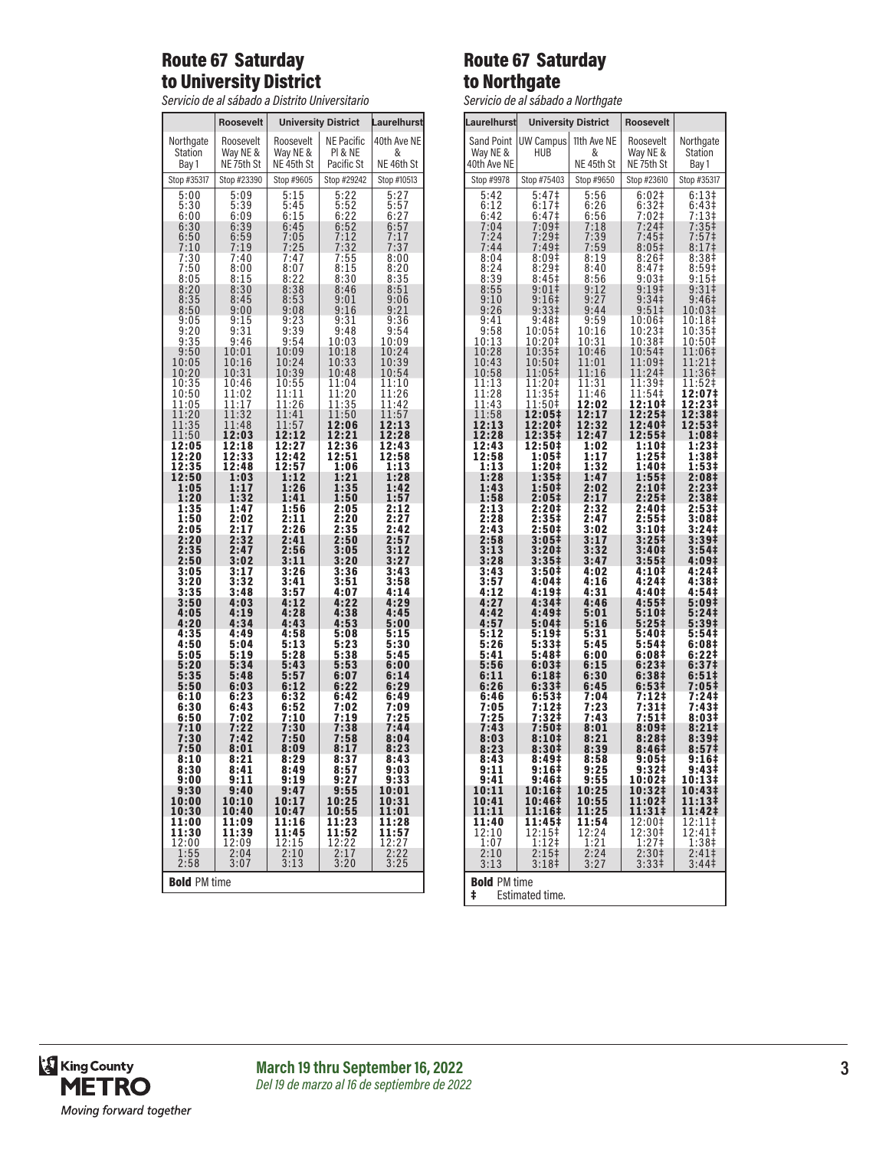# Route 67 Saturday to University District

*Servicio de al sábado a Distrito Universitario*

|                     | <b>Roosevelt</b>           |                                              | <b>University District</b>              | <b>Laurelhurst</b>                  |
|---------------------|----------------------------|----------------------------------------------|-----------------------------------------|-------------------------------------|
| Northgate           | Roosevelt                  | Roosevelt                                    | <b>NE Pacific</b>                       | 40th Ave NE                         |
| Station             | Way NE &                   | Way NE &                                     | PI & NE                                 | &                                   |
| Bay 1               | NE 75th St                 | NE 45th St                                   | Pacific St                              | NE 46th St                          |
| Stop #35317         | Stop #23390                | Stop #9605                                   | Stop #29242                             | Stop #10513                         |
| 5:00<br>5:30        | 5:09<br>5:39               | 5:15<br>5:45                                 | 5:22                                    | $\frac{5:27}{5:57}$<br>6:27<br>6:57 |
| 6:00                |                            | 6:15                                         |                                         |                                     |
| 6:30<br>6:50        | $6:09$<br>$6:39$<br>$6:59$ | 6:45<br>7:05                                 | $5:52$<br>$6:22$<br>$6:52$<br>$7:12$    | 7:17                                |
| 7:10                | 7:19                       | 7:25                                         | 7:32                                    | 7:37                                |
| 7:30                | 7:40                       | 7:47                                         | 7:55                                    | 8:00                                |
| $7:50$<br>8:05      | 8:00                       | 8:07                                         | 8:15                                    | 8:20                                |
|                     | 8:15                       | 8:22                                         | 8:30                                    | 8:35                                |
| 8:20                | 8:30                       | 8:38                                         | 8:46                                    | 8:51                                |
| 8:35                | 8:45                       | 8:53                                         | 9:01                                    | 9:06                                |
| 8:50                | 9:00                       | 9:08                                         | 9:16                                    | 9:21                                |
| 9:05                | 9:15<br>9:31               | $\frac{9:23}{9:39}$                          | $\frac{9:31}{9:48}$                     | $9:36$<br>$9:54$                    |
| $9:20$<br>$9:35$    | 9:46                       | 9:54                                         | 10:03                                   | 10:09                               |
| 9:50                | 10:01                      | 10:09                                        | 10:18                                   | 10:24                               |
| 10:05               | 10:16                      | 10:24                                        | 10:33                                   | 10:39                               |
| $10:20$<br>$10:35$  | 10:31                      | 10:39                                        | 10:48                                   | 10:54                               |
|                     | 10:46                      | 10:55                                        | 11:04                                   | 11:10                               |
| 10:50<br>11:05      | 11:02<br>1:17<br>1         | 11:11<br>11:26                               | 11:20<br>11:35                          | 11:26<br>11:42                      |
| 11:20               | 11:32                      | 11:41                                        | 11:50                                   | 11:57                               |
| 11:35               | 11:48                      | 11:57                                        | 12:06                                   | 12:13                               |
| 11:50               | 12:03                      | 12:12                                        | 12:21                                   | 12:28                               |
| 12:05               | 12:18                      | 12:27                                        | 12:36                                   | 12:43                               |
| 12:20               | 12:33                      | 12:42                                        | 12:51                                   | $\overline{1}\overline{2}:58$       |
| 12:35               | 12:48                      | 12:57                                        | 1:06                                    | 1:13                                |
| 12:50               | 1:03                       | 1:12                                         | 1:21                                    | 1:28                                |
| 1:05                | 1:17                       | 1:26                                         | 1:35                                    | 1:42                                |
| 1:20                | 1:32                       | 1:41                                         | 1:50                                    | 1:57                                |
| 1:35                | 1:47                       | 1:56                                         | 2:05                                    | 2:12                                |
| 1:50                | 2:02                       | 2:11                                         | 2:20                                    | 2:27                                |
| 2:05                | 2:17                       | 2:26                                         | 2:35<br>2:50                            | 2:42                                |
| 2:20                | 2:32                       | 2:41                                         | 3:05                                    | 2:57                                |
| 2:35                | 2:47                       | 2:56                                         |                                         | 3:12                                |
| 2:50                | 3:02                       | 3:11                                         | 3:20                                    | 3:27                                |
| 3:05                | 3:17                       | 3:26                                         | 3:36                                    | 3:43                                |
| 3:20                | 3:32                       | 3:41                                         | 3:51                                    | 3:58                                |
| 3:35                | 3:48                       | 3:57                                         | 4:07                                    | 4:14                                |
| 3:50                | 4:03                       | 4:12                                         | 4:22                                    | 4:29                                |
| 4:05                | 4:19                       | 4:28                                         | 4:38                                    | 4:45                                |
| 4:20                | 4:34                       | 4:43                                         | 4:53                                    | 5:00                                |
| 4:35                | 4:49                       | 4:58                                         | 5:08                                    | 5:15                                |
| 4:50                | 5:04                       | 5:13                                         | 5:23                                    | 5:30                                |
| 5:05                | 5:19                       | 5:28                                         | 5:38                                    | 5:45                                |
| 5:20                | 5:34                       | 5:43                                         | 5:53                                    | 6:00                                |
| 5:35                | 5:48                       | 5:57                                         | 6:07                                    | 6:14                                |
| 5:50                | 6:03                       | 6:12                                         | 6:22                                    | 6:29                                |
| 6:10                | 6:23<br>6:43               | 6:32<br>6:52                                 | 6:42                                    | 6:49                                |
| 6:30<br>6:50        | 7:02                       | 7:10                                         | 7:02<br>7:19                            | 7:09<br>7:25                        |
| 7:10                | 7:22                       | 7:30                                         | 7:38                                    | 7:44                                |
| 7:30                | 7:42                       | 7:50                                         | 7:58                                    | 8:04                                |
| 7:50                | 8:01                       | 8:09                                         | 8:17                                    | 8:23                                |
| 8:10                | 8:21                       | 8:29                                         | 8:37                                    | 8:43                                |
| 8:30                | 8:41                       | 8:49                                         | 8:57                                    | 9:03                                |
| 9:00                | 9:11                       | 9:19                                         | 9:27                                    | 9:33                                |
| 9:30                | 9:40                       | 9:47                                         | $9:55$<br>10:25                         | 10:01                               |
| 10:00               | 10:10                      | 10:17                                        | 10:55                                   | 10:31                               |
| 10:30               | 10:40                      | 10:47                                        |                                         | 11:01                               |
| 11:00               | 11:09                      | 11:16                                        | 11:23                                   | 11:28                               |
| 11:30               | 11:39                      | 11:45                                        | 11:52                                   | 11:57                               |
| 12:00<br>1:55       | 12:09<br>2:04              | $\begin{array}{c} 12:15 \\ 2:10 \end{array}$ | $\frac{12:22}{2:17}\ \frac{2:17}{3:20}$ | 12:27<br>2:22                       |
| 2:58                | 3:07                       | 3:13                                         |                                         | 3:25                                |
| <b>Bold PM time</b> |                            |                                              |                                         |                                     |

## Route 67 Saturday to Northgate

*Servicio de al sábado a Northgate*

| Laurelhurst             | <b>University District</b>                    |                            | Roosevelt                   |                                |
|-------------------------|-----------------------------------------------|----------------------------|-----------------------------|--------------------------------|
| <b>Sand Point</b>       | <b>UW Campus</b>                              | 11th Ave NE<br>&           | Roosevelt                   | Northgate                      |
| Way NE &<br>40th Ave NE | HUB                                           | NE 45th St                 | Way NE &<br>NE 75th St      | Station<br>Bay 1               |
| Stop #9978              | Stop #75403                                   | Stop #9650                 | Stop #23610                 | Stop #35317                    |
| 5:42                    | 5:47 <sup>‡</sup>                             | 5:56                       | 6:02                        | 6:13 <sup>‡</sup>              |
| 6:12<br>6:42            | $6:17$ ‡<br>6:47‡                             | 6:26<br>6:56               | 6:32 <sup>‡</sup><br>7:02   | 6:43 <sup>‡</sup><br>$7:13+$   |
| 7:04                    | 7:09‡                                         |                            | 7:24‡                       | $7:35+$                        |
| 7:24<br>7:44            | 7:29‡<br>7:49 <sup>‡</sup>                    | $7:18$<br>$7:39$<br>$7:59$ | 7:45‡<br>8:05‡              | 7:57‡<br>8:17 <sup>‡</sup>     |
| 8:04                    | 8:09‡                                         | 8:19                       | 8:26‡                       | 8:38 <sup>‡</sup>              |
| 8:24<br>8:39            | 8:29 <sup>‡</sup><br>$8:45$ ‡                 | 8:40<br>8:56               | 8:47 <sup>‡</sup><br>9:03‡  | 8:59‡<br>$9:15$ ‡              |
| 8:55                    | $9:01$ ‡                                      | 9:12                       | 9:19 <sup>‡</sup>           | 9:31‡                          |
| 9:10<br>9:26            | 9:16‡<br>9:33 <sup>‡</sup>                    | 9:27<br>9:44               | 9:34 <sup>‡</sup><br>9:51   | 9:46 <sup>‡</sup><br>10:03‡    |
| 9:41                    | 9:48‡                                         | 9:59                       | 10:06‡                      | 10:18‡                         |
| 9:58<br>10:13           | 10:05‡<br>10:20‡                              | 10:16<br>10:31             | 10:23‡<br>10:38‡            | 10:35‡<br>10:50‡               |
| 10:28                   | 10:35‡                                        | 10:46                      | 10:54‡                      | 11:06‡                         |
| 10:43<br>10:58          | 10:50‡<br>1:05‡<br>1                          | 11:01<br>11:16             | 11:09‡<br>11:24‡            | 11:21‡<br>11:36‡               |
| 11:13                   | 1<br>1:20‡                                    | 11:31                      | 11:39‡                      | 11:52‡<br>12:07‡               |
| 11:28<br>11:43          | 11:35‡<br>1:50‡<br>1                          | 11:46<br>12:02             | 11:54‡<br>12:10‡            | 12:23‡                         |
| 11:58<br>12:13          | 12:05‡<br>12:20‡                              | 12:17<br>12:32             | 12:25‡<br>12:40‡            | 12:38‡<br>12:53‡               |
| 12:28                   | 12:35‡                                        | 12:47                      | 12:55‡                      | 1:08‡                          |
| 12:43<br>12:58          | 12:50‡<br>1:05‡                               | 1:02<br>1:17               | 1:10‡<br>1:25‡              | 1:23‡<br>1:38‡                 |
| 1:13                    | 1:20‡                                         | 1:32                       | 1:40‡                       | 1:53‡                          |
| 1:28<br>1:43            | 1:35‡<br>1:50‡                                | 1:47<br>2:02               | 1:55‡<br>2:10 <sup>‡</sup>  | 2:08‡<br>2:23‡                 |
| 1:58                    | 2:05‡                                         | 2:17                       | 2:25‡                       | 2:38‡                          |
| 2:13<br>2:28            | 2:20‡<br>2:35‡                                | 2:32<br>2:47               | 2:40‡<br>2:55‡              | 2:53‡<br>3:08‡                 |
| 2:43                    | 2:50‡                                         | 3:02                       | $3:10†$<br>3:25‡            | 3:24‡<br>3:39‡                 |
| 2:58<br>3:13            | $3:05\ddagger$<br>3:20‡                       | 3:17<br>3:32               | 3:40‡                       | 3:54‡                          |
| 3:28<br>3:43            | 3:35‡<br>3:50‡                                | 3:47<br>4:02               | 3:55 <sup>‡</sup><br>4:10‡  | 4:09‡<br>4:24‡                 |
| 3:57                    | 4:04‡                                         | 4:16                       | 4:24‡                       | 4:38‡                          |
| 4:12<br>4:27            | 4:19‡<br>4:34‡                                | 4:31<br>4:46               | 4:40‡<br>4:55‡              | 4:54‡<br>5:09‡                 |
| 4:42                    | 4:49‡                                         | 5:01                       | $5:10+$                     | 5:24‡                          |
| 4:57<br>5:12            | 5:04‡<br>5:19‡                                | 5:16<br>5:31               | 5:25‡<br>5:40‡              | 5:39‡<br>5:54‡                 |
| 5:26                    | 5:33‡                                         | 5:45                       | 5:54‡                       | 6:08‡                          |
| 5:41<br>5:56            | 5:48‡<br>6:03#                                | 6:00<br>6:15               | 6:08‡<br>6:23#              | 6:22‡<br>6:37‡                 |
| 6:11                    | 6:18 <sup>‡</sup>                             | 6:30                       | 6:38‡                       | $6:51\ddagger$                 |
| 6:26<br>6:46            | 6:33‡<br>6:53#                                | 6:45<br>7:04               | 6:53#<br>7:12‡              | 7:05‡<br>7:24‡                 |
| 7:05<br>7:25            | 7:12‡<br>7:32‡                                | 7:23<br>7:43               | 7:31‡<br>7:511              | 7:43‡<br>8:03‡                 |
| 7:43                    | 7:50‡                                         | 8:01                       | 8:09‡                       | 8:21‡                          |
| 8:03<br>8:23            | 8:10‡<br>8:30‡                                | 8:21<br>8:39               | 8:28‡<br>8:46‡              | 8:39‡<br>8:57‡                 |
| 8:43                    | 8:49‡                                         | 8:58                       | 9:05‡                       | 9:16‡                          |
| 9:11<br>9:41            | 9:16‡<br>9:46‡                                | 9:25<br>9:55               | 9:32 <sup>1</sup><br>10:02‡ | 9:43 <sup>1</sup><br>10:13‡    |
| 10:11                   | 10:16‡                                        | 10:25                      | 10:32‡                      | 10:43‡                         |
| 10:41<br>11:11          | 10:46‡<br>11:16‡                              | 10:55<br>11:25             | 11:02‡<br>11:31‡            | 11:13‡<br>11:42‡               |
| 11:40                   | 11:45‡                                        | 11:54                      | $\frac{12:001}{12:301}$     | 12:11‡                         |
| 12:10<br>1:07           | 12:15‡<br>$\bar{1}:\bar{1}2\ddagger$<br>2:15‡ | 12:24                      |                             | 12:41‡                         |
| 2:10<br>3:13            | $3:18+$                                       | $1:21$<br>2:24<br>3:27     | 1:27‡<br>2:30‡<br>3:33‡     | $\frac{1:381}{2:411}$<br>3:44‡ |
| <b>Bold PM time</b>     |                                               |                            |                             |                                |
| Estimated time.<br>ŧ    |                                               |                            |                             |                                |